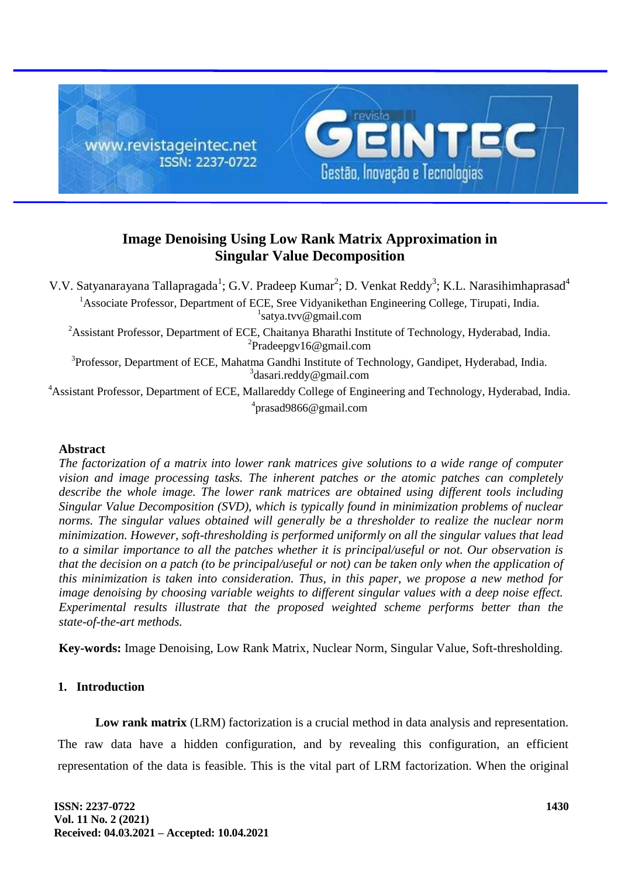

# **Image Denoising Using Low Rank Matrix Approximation in Singular Value Decomposition**

V.V. Satyanarayana Tallapragada<sup>1</sup>; G.V. Pradeep Kumar<sup>2</sup>; D. Venkat Reddy<sup>3</sup>; K.L. Narasihimhaprasad<sup>4</sup> <sup>1</sup> Associate Professor. Department of ECE, Sree Vidyanikethan Engineering College, Tirupati, India. 1 satya.tvv@gmail.com <sup>2</sup> Assistant Professor, Department of ECE, Chaitanya Bharathi Institute of Technology, Hyderabad, India. 2 Pradeepgv16@gmail.com <sup>3</sup>Professor, Department of ECE, Mahatma Gandhi Institute of Technology, Gandipet, Hyderabad, India. 3 dasari.reddy@gmail.com

<sup>4</sup>Assistant Professor, Department of ECE, Mallareddy College of Engineering and Technology, Hyderabad, India. 4 prasad9866@gmail.com

# **Abstract**

*The factorization of a matrix into lower rank matrices give solutions to a wide range of computer vision and image processing tasks. The inherent patches or the atomic patches can completely describe the whole image. The lower rank matrices are obtained using different tools including Singular Value Decomposition (SVD), which is typically found in minimization problems of nuclear norms. The singular values obtained will generally be a thresholder to realize the nuclear norm minimization. However, soft-thresholding is performed uniformly on all the singular values that lead to a similar importance to all the patches whether it is principal/useful or not. Our observation is that the decision on a patch (to be principal/useful or not) can be taken only when the application of this minimization is taken into consideration. Thus, in this paper, we propose a new method for image denoising by choosing variable weights to different singular values with a deep noise effect. Experimental results illustrate that the proposed weighted scheme performs better than the state-of-the-art methods.*

**Key-words:** Image Denoising, Low Rank Matrix, Nuclear Norm, Singular Value, Soft-thresholding.

# **1. Introduction**

**Low rank matrix** (LRM) factorization is a crucial method in data analysis and representation.

The raw data have a hidden configuration, and by revealing this configuration, an efficient representation of the data is feasible. This is the vital part of LRM factorization. When the original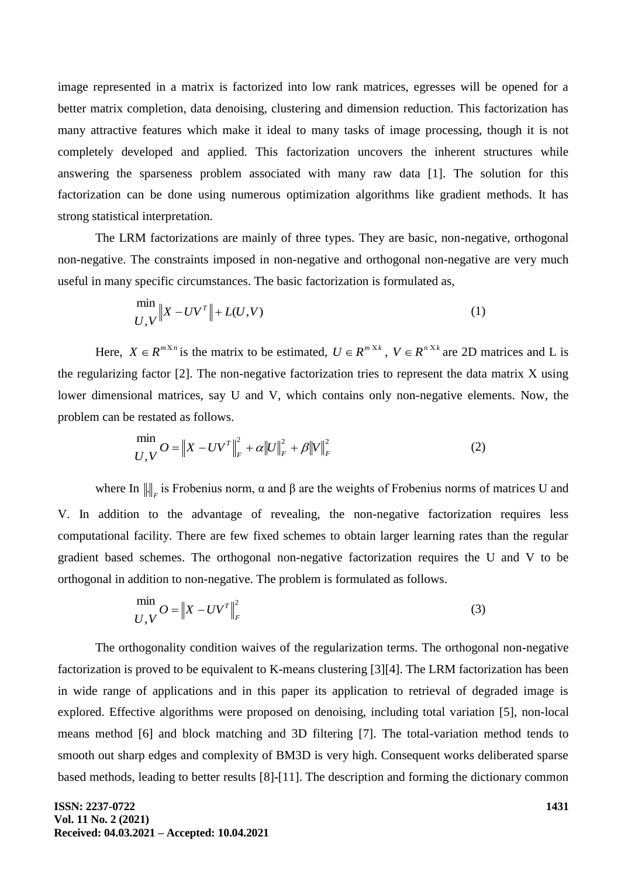image represented in a matrix is factorized into low rank matrices, egresses will be opened for a better matrix completion, data denoising, clustering and dimension reduction. This factorization has many attractive features which make it ideal to many tasks of image processing, though it is not completely developed and applied. This factorization uncovers the inherent structures while answering the sparseness problem associated with many raw data [1]. The solution for this factorization can be done using numerous optimization algorithms like gradient methods. It has strong statistical interpretation.

The LRM factorizations are mainly of three types. They are basic, non-negative, orthogonal non-negative. The constraints imposed in non-negative and orthogonal non-negative are very much useful in many specific circumstances. The basic factorization is formulated as,

$$
\min_{U,V} \|X - UV^T\| + L(U,V) \tag{1}
$$

Here,  $X \in R^{m \times n}$  is the matrix to be estimated,  $U \in R^{m \times k}$ ,  $V \in R^{n \times k}$  are 2D matrices and L is the regularizing factor [2]. The non-negative factorization tries to represent the data matrix X using lower dimensional matrices, say U and V, which contains only non-negative elements. Now, the problem can be restated as follows.

$$
\min_{U,V} O = \|X - UV^T\|_F^2 + \alpha \|U\|_F^2 + \beta \|V\|_F^2
$$
\n(2)

where In  $\|\cdot\|_F$  is Frobenius norm,  $\alpha$  and  $\beta$  are the weights of Frobenius norms of matrices U and V. In addition to the advantage of revealing, the non-negative factorization requires less computational facility. There are few fixed schemes to obtain larger learning rates than the regular gradient based schemes. The orthogonal non-negative factorization requires the U and V to be orthogonal in addition to non-negative. The problem is formulated as follows.

$$
\min_{U, V} O = \|X - UV^T\|_F^2
$$
\n(3)

The orthogonality condition waives of the regularization terms. The orthogonal non-negative factorization is proved to be equivalent to K-means clustering [3][4]. The LRM factorization has been in wide range of applications and in this paper its application to retrieval of degraded image is explored. Effective algorithms were proposed on denoising, including total variation [5], non-local means method [6] and block matching and 3D filtering [7]. The total-variation method tends to smooth out sharp edges and complexity of BM3D is very high. Consequent works deliberated sparse based methods, leading to better results [8]-[11]. The description and forming the dictionary common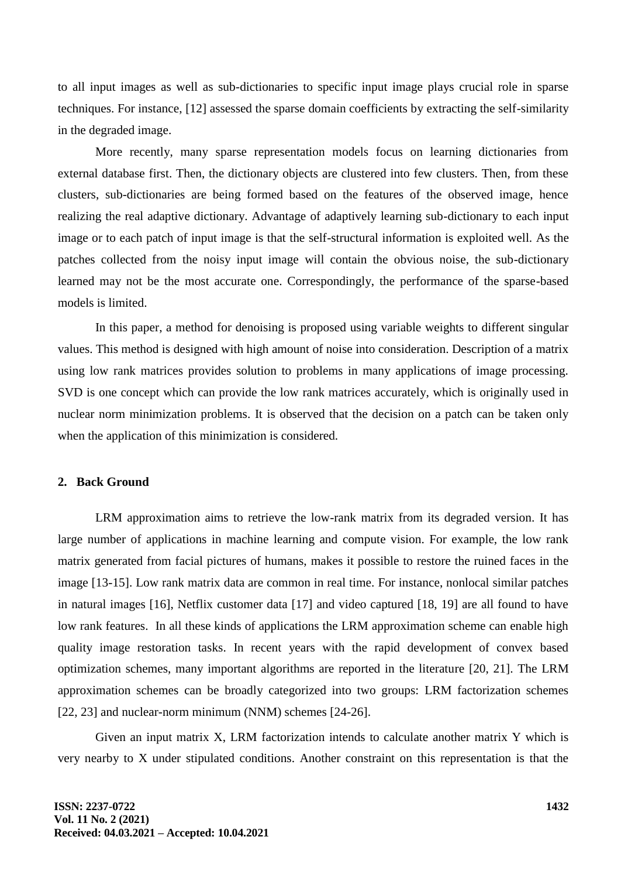to all input images as well as sub-dictionaries to specific input image plays crucial role in sparse techniques. For instance, [12] assessed the sparse domain coefficients by extracting the self-similarity in the degraded image.

More recently, many sparse representation models focus on learning dictionaries from external database first. Then, the dictionary objects are clustered into few clusters. Then, from these clusters, sub-dictionaries are being formed based on the features of the observed image, hence realizing the real adaptive dictionary. Advantage of adaptively learning sub-dictionary to each input image or to each patch of input image is that the self-structural information is exploited well. As the patches collected from the noisy input image will contain the obvious noise, the sub-dictionary learned may not be the most accurate one. Correspondingly, the performance of the sparse-based models is limited.

In this paper, a method for denoising is proposed using variable weights to different singular values. This method is designed with high amount of noise into consideration. Description of a matrix using low rank matrices provides solution to problems in many applications of image processing. SVD is one concept which can provide the low rank matrices accurately, which is originally used in nuclear norm minimization problems. It is observed that the decision on a patch can be taken only when the application of this minimization is considered.

#### **2. Back Ground**

LRM approximation aims to retrieve the low-rank matrix from its degraded version. It has large number of applications in machine learning and compute vision. For example, the low rank matrix generated from facial pictures of humans, makes it possible to restore the ruined faces in the image [13-15]. Low rank matrix data are common in real time. For instance, nonlocal similar patches in natural images [16], Netflix customer data [17] and video captured [18, 19] are all found to have low rank features. In all these kinds of applications the LRM approximation scheme can enable high quality image restoration tasks. In recent years with the rapid development of convex based optimization schemes, many important algorithms are reported in the literature [20, 21]. The LRM approximation schemes can be broadly categorized into two groups: LRM factorization schemes [22, 23] and nuclear-norm minimum (NNM) schemes [24-26].

Given an input matrix X, LRM factorization intends to calculate another matrix Y which is very nearby to X under stipulated conditions. Another constraint on this representation is that the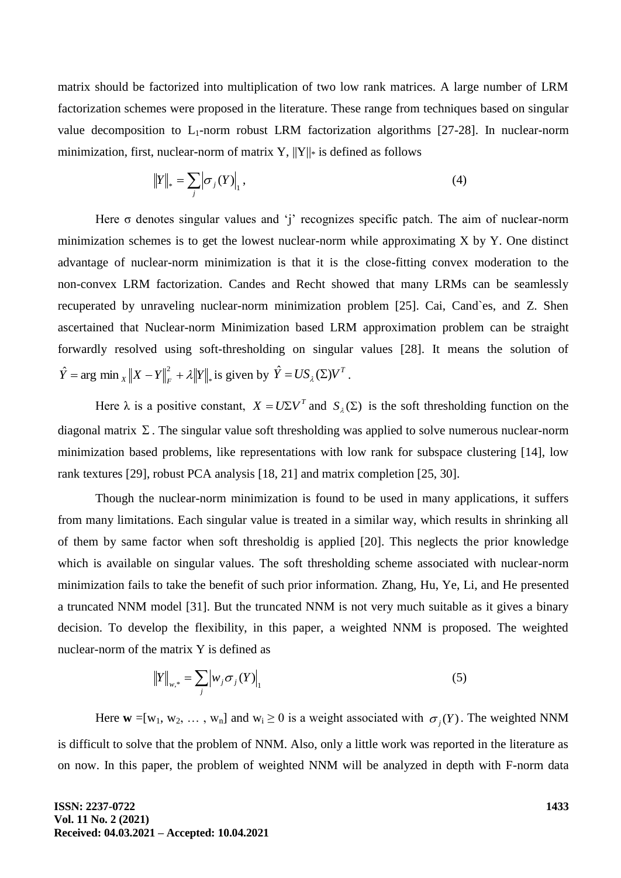matrix should be factorized into multiplication of two low rank matrices. A large number of LRM factorization schemes were proposed in the literature. These range from techniques based on singular value decomposition to  $L_1$ -norm robust LRM factorization algorithms [27-28]. In nuclear-norm minimization, first, nuclear-norm of matrix Y,  $||Y||_*$  is defined as follows

$$
||Y||_* = \sum_j |\sigma_j(Y)|_1, \qquad (4)
$$

Here  $\sigma$  denotes singular values and 'j' recognizes specific patch. The aim of nuclear-norm minimization schemes is to get the lowest nuclear-norm while approximating X by Y. One distinct advantage of nuclear-norm minimization is that it is the close-fitting convex moderation to the non-convex LRM factorization. Candes and Recht showed that many LRMs can be seamlessly recuperated by unraveling nuclear-norm minimization problem [25]. Cai, Cand`es, and Z. Shen ascertained that Nuclear-norm Minimization based LRM approximation problem can be straight forwardly resolved using soft-thresholding on singular values [28]. It means the solution of \*  $\hat{Y} = \arg \min_{X} ||X - Y||_F^2 + \lambda ||Y||_*$  is given by  $\hat{Y} = US_{\lambda}(\Sigma)V^T$ .

Here  $\lambda$  is a positive constant,  $X = U \Sigma V^T$  and  $S_\lambda(\Sigma)$  is the soft thresholding function on the diagonal matrix  $\Sigma$ . The singular value soft thresholding was applied to solve numerous nuclear-norm minimization based problems, like representations with low rank for subspace clustering [14], low rank textures [29], robust PCA analysis [18, 21] and matrix completion [25, 30].

Though the nuclear-norm minimization is found to be used in many applications, it suffers from many limitations. Each singular value is treated in a similar way, which results in shrinking all of them by same factor when soft thresholdig is applied [20]. This neglects the prior knowledge which is available on singular values. The soft thresholding scheme associated with nuclear-norm minimization fails to take the benefit of such prior information. Zhang, Hu, Ye, Li, and He presented a truncated NNM model [31]. But the truncated NNM is not very much suitable as it gives a binary decision. To develop the flexibility, in this paper, a weighted NNM is proposed. The weighted nuclear-norm of the matrix Y is defined as

$$
||Y||_{w,*} = \sum_{j} |w_{j} \sigma_{j}(Y)|_{1}
$$
 (5)

Here  $w = [w_1, w_2, \dots, w_n]$  and  $w_i \ge 0$  is a weight associated with  $\sigma_j(Y)$ . The weighted NNM is difficult to solve that the problem of NNM. Also, only a little work was reported in the literature as on now. In this paper, the problem of weighted NNM will be analyzed in depth with F-norm data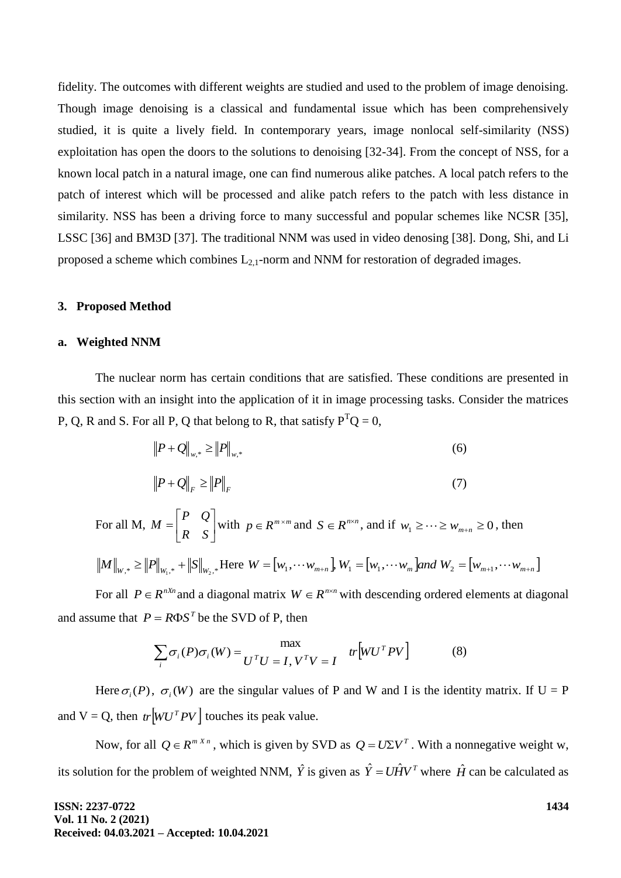fidelity. The outcomes with different weights are studied and used to the problem of image denoising. Though image denoising is a classical and fundamental issue which has been comprehensively studied, it is quite a lively field. In contemporary years, image nonlocal self-similarity (NSS) exploitation has open the doors to the solutions to denoising [32-34]. From the concept of NSS, for a known local patch in a natural image, one can find numerous alike patches. A local patch refers to the patch of interest which will be processed and alike patch refers to the patch with less distance in similarity. NSS has been a driving force to many successful and popular schemes like NCSR [35], LSSC [36] and BM3D [37]. The traditional NNM was used in video denosing [38]. Dong, Shi, and Li proposed a scheme which combines  $L_{2,1}$ -norm and NNM for restoration of degraded images.

#### **3. Proposed Method**

#### **a. Weighted NNM**

The nuclear norm has certain conditions that are satisfied. These conditions are presented in this section with an insight into the application of it in image processing tasks. Consider the matrices P, Q, R and S. For all P, Q that belong to R, that satisfy  $P^{T}Q = 0$ ,

$$
||P + Q||_{w,*} \ge ||P||_{w,*}
$$
 (6)

$$
\left\|P + Q\right\|_F \ge \left\|P\right\|_F \tag{7}
$$

For all M,  $M = \begin{vmatrix} 1 & \epsilon \\ R & \epsilon \end{vmatrix}$  $\rfloor$  $\overline{\phantom{a}}$  $\mathsf{I}$ L  $=$ *R S P Q*  $M = \begin{bmatrix} 1 & \mathcal{L} \\ \mathbf{p} & \mathbf{c} \end{bmatrix}$  with  $p \in R^{m \times m}$  and  $S \in R^{n \times n}$ , and if  $w_1 \geq \cdots \geq w_{m+n} \geq 0$ , then

$$
||M||_{W,*} \ge ||P||_{W_{1,*}} + ||S||_{W_{2,*}} + \text{Here } W = [w_1, \dots w_{m+n}], W_1 = [w_1, \dots w_m] \text{ and } W_2 = [w_{m+1}, \dots w_{m+n}]
$$

For all  $P \in R^{nX_n}$  and a diagonal matrix  $W \in R^{n \times n}$  with descending ordered elements at diagonal and assume that  $P = R\Phi S^T$  be the SVD of P, then

$$
\sum_{i} \sigma_i(P)\sigma_i(W) = \frac{\max}{U^T U = I, V^T V = I} \quad tr[WU^T P V] \tag{8}
$$

Here  $\sigma_i(P)$ ,  $\sigma_i(W)$  are the singular values of P and W and I is the identity matrix. If U = P and  $V = Q$ , then  $tr\left| WU^T P V \right|$  touches its peak value.

Now, for all  $Q \in R^{m \times n}$ , which is given by SVD as  $Q = U \Sigma V^{T}$ . With a nonnegative weight w, its solution for the problem of weighted NNM,  $\hat{Y}$  is given as  $\hat{Y} = U \hat{H} V^T$  where  $\hat{H}$  can be calculated as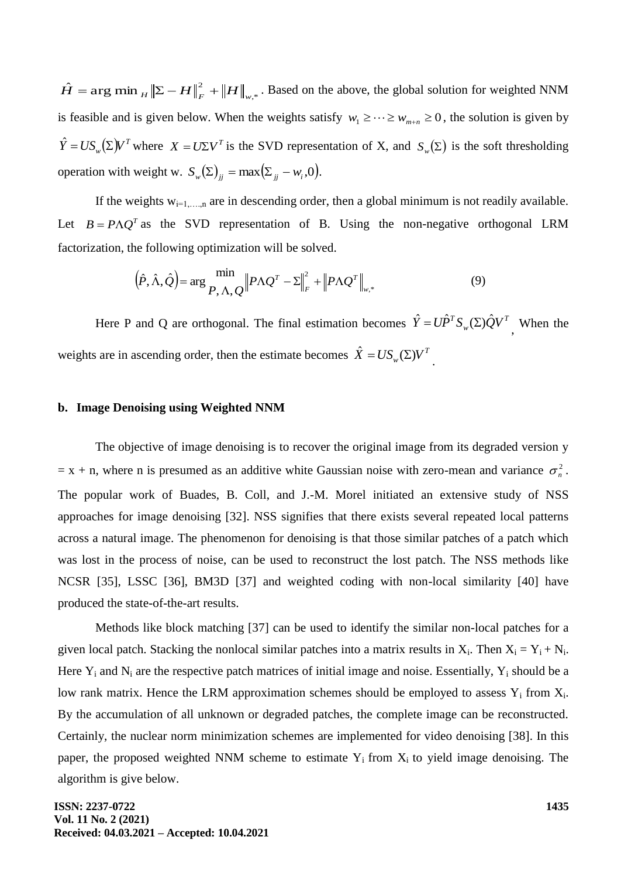,\*  $\hat{H} = \arg \min_{H} \|\Sigma - H\|_{F}^{2} + \|H\|_{w,*}$ . Based on the above, the global solution for weighted NNM is feasible and is given below. When the weights satisfy  $w_1 \geq \cdots \geq w_{m+n} \geq 0$ , the solution is given by  $\hat{Y} = US_w(\Sigma)V^T$  where  $X = U\Sigma V^T$  is the SVD representation of X, and  $S_w(\Sigma)$  is the soft thresholding operation with weight w.  $S_w(\Sigma)_{jj} = \max(\Sigma_{jj} - w_i, 0)$ .

If the weights  $w_{i=1,...,n}$  are in descending order, then a global minimum is not readily available. Let  $B = P \Lambda Q^T$  as the SVD representation of B. Using the non-negative orthogonal LRM factorization, the following optimization will be solved.

$$
(\hat{P}, \hat{\Lambda}, \hat{Q}) = \arg \frac{\min}{P, \Lambda, Q} \|P \Lambda Q^{T} - \Sigma\|_{F}^{2} + \|P \Lambda Q^{T}\|_{w,*}
$$
\n(9)

Here P and Q are orthogonal. The final estimation becomes  $\hat{Y} = U\hat{P}^T S_{\psi}(\Sigma) \hat{Q} V^T$ *w*  $\hat{Y} = U\hat{P}^T S_w(\Sigma) \hat{Q} V^T$ , When the weights are in ascending order, then the estimate becomes  $\hat{X} = US_w(\Sigma)V^T$ .

# **b. Image Denoising using Weighted NNM**

The objective of image denoising is to recover the original image from its degraded version y  $=$  x + n, where n is presumed as an additive white Gaussian noise with zero-mean and variance  $\sigma_n^2$ . The popular work of Buades, B. Coll, and J.-M. Morel initiated an extensive study of NSS approaches for image denoising [32]. NSS signifies that there exists several repeated local patterns across a natural image. The phenomenon for denoising is that those similar patches of a patch which was lost in the process of noise, can be used to reconstruct the lost patch. The NSS methods like NCSR [35], LSSC [36], BM3D [37] and weighted coding with non-local similarity [40] have produced the state-of-the-art results.

Methods like block matching [37] can be used to identify the similar non-local patches for a given local patch. Stacking the nonlocal similar patches into a matrix results in  $X_i$ . Then  $X_i = Y_i + N_i$ . Here  $Y_i$  and  $N_i$  are the respective patch matrices of initial image and noise. Essentially,  $Y_i$  should be a low rank matrix. Hence the LRM approximation schemes should be employed to assess  $Y_i$  from  $X_i$ . By the accumulation of all unknown or degraded patches, the complete image can be reconstructed. Certainly, the nuclear norm minimization schemes are implemented for video denoising [38]. In this paper, the proposed weighted NNM scheme to estimate  $Y_i$  from  $X_i$  to yield image denoising. The algorithm is give below.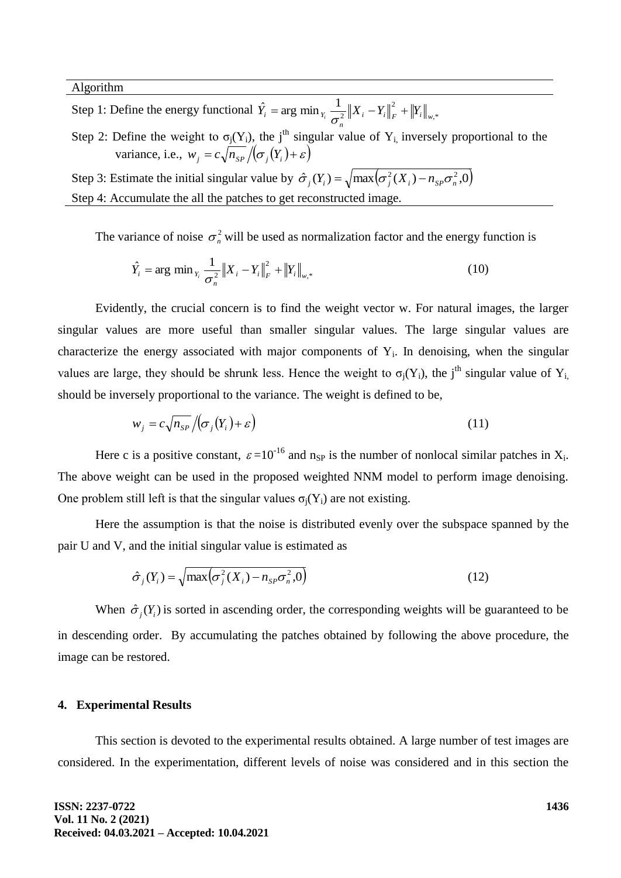Algorithm

- Step 1: Define the energy functional  $\hat{Y}_i = \arg \min_{Y_i} \frac{1}{\sigma^2} \|X_i Y_i\|_F^2 + \|Y_i\|_{w,*}$ 2 2  $\hat{Y}_i$  = arg min<sub> $Y_i$ </sub>  $\frac{1}{\sigma_n^2} ||X_i - Y_i||_F^2 + ||Y_i||_W^2$  $\hat{Y}_i = \arg \min_{Y_i} \frac{1}{\sigma_i^2} \|X_i - Y_i\|_F^2 + \|Y\|_F^2$
- Step 2: Define the weight to  $\sigma_i(Y_i)$ , the j<sup>th</sup> singular value of  $Y_i$  inversely proportional to the variance, i.e.,  $w_j = c \sqrt{n_{SP}/(\sigma_j(Y_i) + \varepsilon)}$

Step 3: Estimate the initial singular value by  $\hat{\sigma}_j(Y_i) = \sqrt{\max(\sigma_j^2(X_i) - n_{sp}\sigma_n^2, 0)}$ Step 4: Accumulate the all the patches to get reconstructed image.

The variance of noise  $\sigma_n^2$  will be used as normalization factor and the energy function is

$$
\hat{Y}_i = \arg \min_{Y_i} \frac{1}{\sigma_n^2} \|X_i - Y_i\|_F^2 + \|Y_i\|_{w,*}
$$
\n(10)

Evidently, the crucial concern is to find the weight vector w. For natural images, the larger singular values are more useful than smaller singular values. The large singular values are characterize the energy associated with major components of  $Y_i$ . In denoising, when the singular values are large, they should be shrunk less. Hence the weight to  $\sigma_i(Y_i)$ , the j<sup>th</sup> singular value of Y<sub>i</sub>, should be inversely proportional to the variance. The weight is defined to be,

$$
w_j = c \sqrt{n_{SP}} / (\sigma_j(Y_i) + \varepsilon)
$$
\n(11)

Here c is a positive constant,  $\varepsilon = 10^{-16}$  and n<sub>SP</sub> is the number of nonlocal similar patches in  $X_i$ . The above weight can be used in the proposed weighted NNM model to perform image denoising. One problem still left is that the singular values  $\sigma_i(Y_i)$  are not existing.

Here the assumption is that the noise is distributed evenly over the subspace spanned by the pair U and V, and the initial singular value is estimated as

$$
\hat{\sigma}_j(Y_i) = \sqrt{\max\left(\sigma_j^2(X_i) - n_{SP}\sigma_n^2, 0\right)}
$$
\n(12)

When  $\hat{\sigma}_i(Y_i)$  is sorted in ascending order, the corresponding weights will be guaranteed to be in descending order. By accumulating the patches obtained by following the above procedure, the image can be restored.

#### **4. Experimental Results**

This section is devoted to the experimental results obtained. A large number of test images are considered. In the experimentation, different levels of noise was considered and in this section the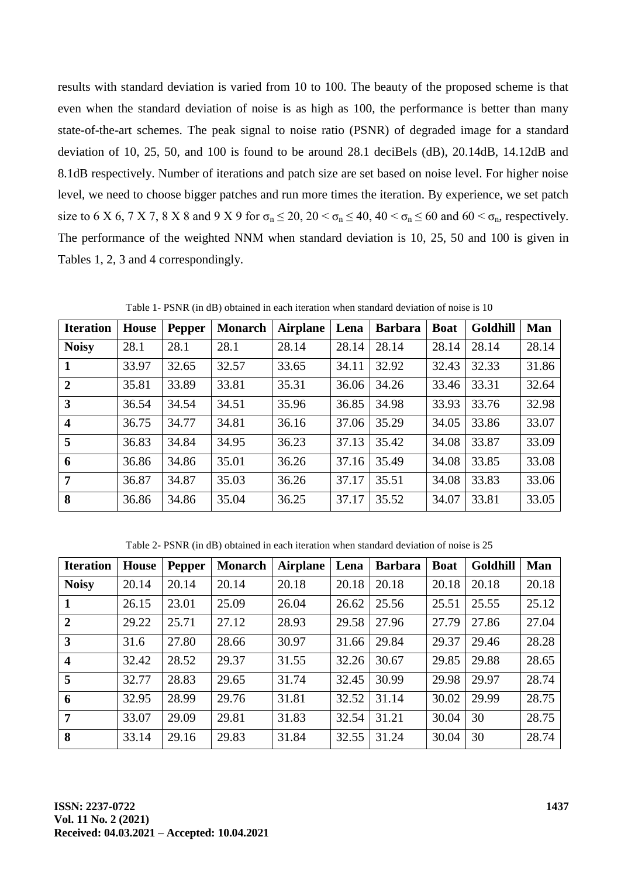results with standard deviation is varied from 10 to 100. The beauty of the proposed scheme is that even when the standard deviation of noise is as high as 100, the performance is better than many state-of-the-art schemes. The peak signal to noise ratio (PSNR) of degraded image for a standard deviation of 10, 25, 50, and 100 is found to be around 28.1 deciBels  $(dB)$ , 20.14dB, 14.12dB and 8.1dB respectively. Number of iterations and patch size are set based on noise level. For higher noise level, we need to choose bigger patches and run more times the iteration. By experience, we set patch size to 6 X 6, 7 X 7, 8 X 8 and 9 X 9 for  $\sigma_n \le 20$ ,  $20 < \sigma_n \le 40$ ,  $40 < \sigma_n \le 60$  and  $60 < \sigma_n$ , respectively. The performance of the weighted NNM when standard deviation is 10, 25, 50 and 100 is given in Tables 1, 2, 3 and 4 correspondingly.

| <b>Iteration</b>        | House | <b>Pepper</b> | <b>Monarch</b> | <b>Airplane</b> | Lena  | <b>Barbara</b> | <b>Boat</b> | Goldhill | Man   |
|-------------------------|-------|---------------|----------------|-----------------|-------|----------------|-------------|----------|-------|
| <b>Noisy</b>            | 28.1  | 28.1          | 28.1           | 28.14           | 28.14 | 28.14          | 28.14       | 28.14    | 28.14 |
| -1                      | 33.97 | 32.65         | 32.57          | 33.65           | 34.11 | 32.92          | 32.43       | 32.33    | 31.86 |
| $\overline{2}$          | 35.81 | 33.89         | 33.81          | 35.31           | 36.06 | 34.26          | 33.46       | 33.31    | 32.64 |
| $\overline{3}$          | 36.54 | 34.54         | 34.51          | 35.96           | 36.85 | 34.98          | 33.93       | 33.76    | 32.98 |
| $\overline{\mathbf{4}}$ | 36.75 | 34.77         | 34.81          | 36.16           | 37.06 | 35.29          | 34.05       | 33.86    | 33.07 |
| 5                       | 36.83 | 34.84         | 34.95          | 36.23           | 37.13 | 35.42          | 34.08       | 33.87    | 33.09 |
| 6                       | 36.86 | 34.86         | 35.01          | 36.26           | 37.16 | 35.49          | 34.08       | 33.85    | 33.08 |
| $\overline{7}$          | 36.87 | 34.87         | 35.03          | 36.26           | 37.17 | 35.51          | 34.08       | 33.83    | 33.06 |
| 8                       | 36.86 | 34.86         | 35.04          | 36.25           | 37.17 | 35.52          | 34.07       | 33.81    | 33.05 |

Table 1- PSNR (in dB) obtained in each iteration when standard deviation of noise is 10

Table 2- PSNR (in dB) obtained in each iteration when standard deviation of noise is 25

| <b>Iteration</b>        | <b>House</b> | <b>Pepper</b> | <b>Monarch</b> | <b>Airplane</b> | Lena  | <b>Barbara</b> | <b>Boat</b> | Goldhill | Man   |
|-------------------------|--------------|---------------|----------------|-----------------|-------|----------------|-------------|----------|-------|
| <b>Noisy</b>            | 20.14        | 20.14         | 20.14          | 20.18           | 20.18 | 20.18          | 20.18       | 20.18    | 20.18 |
| $\mathbf{1}$            | 26.15        | 23.01         | 25.09          | 26.04           | 26.62 | 25.56          | 25.51       | 25.55    | 25.12 |
| $\overline{2}$          | 29.22        | 25.71         | 27.12          | 28.93           | 29.58 | 27.96          | 27.79       | 27.86    | 27.04 |
| $\overline{\mathbf{3}}$ | 31.6         | 27.80         | 28.66          | 30.97           | 31.66 | 29.84          | 29.37       | 29.46    | 28.28 |
| $\overline{\mathbf{4}}$ | 32.42        | 28.52         | 29.37          | 31.55           | 32.26 | 30.67          | 29.85       | 29.88    | 28.65 |
| 5                       | 32.77        | 28.83         | 29.65          | 31.74           | 32.45 | 30.99          | 29.98       | 29.97    | 28.74 |
| 6                       | 32.95        | 28.99         | 29.76          | 31.81           | 32.52 | 31.14          | 30.02       | 29.99    | 28.75 |
| $\overline{7}$          | 33.07        | 29.09         | 29.81          | 31.83           | 32.54 | 31.21          | 30.04       | 30       | 28.75 |
| 8                       | 33.14        | 29.16         | 29.83          | 31.84           | 32.55 | 31.24          | 30.04       | 30       | 28.74 |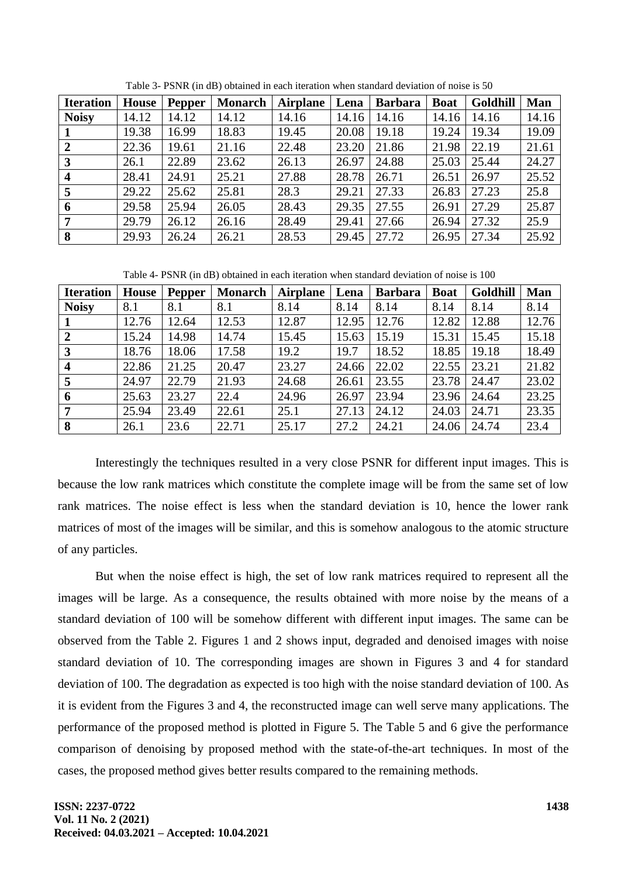| <b>Iteration</b>        | <b>House</b> | Pepper | <b>Monarch</b> | <b>Airplane</b> | Lena  | <b>Barbara</b> | <b>Boat</b> | Goldhill | Man   |
|-------------------------|--------------|--------|----------------|-----------------|-------|----------------|-------------|----------|-------|
| <b>Noisy</b>            | 14.12        | 14.12  | 14.12          | 14.16           | 14.16 | 14.16          | 14.16       | 14.16    | 14.16 |
|                         | 19.38        | 16.99  | 18.83          | 19.45           | 20.08 | 19.18          | 19.24       | 19.34    | 19.09 |
| $\overline{2}$          | 22.36        | 19.61  | 21.16          | 22.48           | 23.20 | 21.86          | 21.98       | 22.19    | 21.61 |
| 3                       | 26.1         | 22.89  | 23.62          | 26.13           | 26.97 | 24.88          | 25.03       | 25.44    | 24.27 |
| $\overline{\mathbf{4}}$ | 28.41        | 24.91  | 25.21          | 27.88           | 28.78 | 26.71          | 26.51       | 26.97    | 25.52 |
| 5                       | 29.22        | 25.62  | 25.81          | 28.3            | 29.21 | 27.33          | 26.83       | 27.23    | 25.8  |
| 6                       | 29.58        | 25.94  | 26.05          | 28.43           | 29.35 | 27.55          | 26.91       | 27.29    | 25.87 |
| 7                       | 29.79        | 26.12  | 26.16          | 28.49           | 29.41 | 27.66          | 26.94       | 27.32    | 25.9  |
| 8                       | 29.93        | 26.24  | 26.21          | 28.53           | 29.45 | 27.72          | 26.95       | 27.34    | 25.92 |

Table 3- PSNR (in dB) obtained in each iteration when standard deviation of noise is 50

Table 4- PSNR (in dB) obtained in each iteration when standard deviation of noise is 100

| <b>Iteration</b>        | House | Pepper | <b>Monarch</b> | <b>Airplane</b> | Lena  | <b>Barbara</b> | <b>Boat</b> | Goldhill | Man   |
|-------------------------|-------|--------|----------------|-----------------|-------|----------------|-------------|----------|-------|
| <b>Noisy</b>            | 8.1   | 8.1    | 8.1            | 8.14            | 8.14  | 8.14           | 8.14        | 8.14     | 8.14  |
|                         | 12.76 | 12.64  | 12.53          | 12.87           | 12.95 | 12.76          | 12.82       | 12.88    | 12.76 |
| $\boldsymbol{2}$        | 15.24 | 14.98  | 14.74          | 15.45           | 15.63 | 15.19          | 15.31       | 15.45    | 15.18 |
| 3                       | 18.76 | 18.06  | 17.58          | 19.2            | 19.7  | 18.52          | 18.85       | 19.18    | 18.49 |
| $\overline{\mathbf{4}}$ | 22.86 | 21.25  | 20.47          | 23.27           | 24.66 | 22.02          | 22.55       | 23.21    | 21.82 |
| 5                       | 24.97 | 22.79  | 21.93          | 24.68           | 26.61 | 23.55          | 23.78       | 24.47    | 23.02 |
| 6                       | 25.63 | 23.27  | 22.4           | 24.96           | 26.97 | 23.94          | 23.96       | 24.64    | 23.25 |
|                         | 25.94 | 23.49  | 22.61          | 25.1            | 27.13 | 24.12          | 24.03       | 24.71    | 23.35 |
| 8                       | 26.1  | 23.6   | 22.71          | 25.17           | 27.2  | 24.21          | 24.06       | 24.74    | 23.4  |

Interestingly the techniques resulted in a very close PSNR for different input images. This is because the low rank matrices which constitute the complete image will be from the same set of low rank matrices. The noise effect is less when the standard deviation is 10, hence the lower rank matrices of most of the images will be similar, and this is somehow analogous to the atomic structure of any particles.

But when the noise effect is high, the set of low rank matrices required to represent all the images will be large. As a consequence, the results obtained with more noise by the means of a standard deviation of 100 will be somehow different with different input images. The same can be observed from the Table 2. Figures 1 and 2 shows input, degraded and denoised images with noise standard deviation of 10. The corresponding images are shown in Figures 3 and 4 for standard deviation of 100. The degradation as expected is too high with the noise standard deviation of 100. As it is evident from the Figures 3 and 4, the reconstructed image can well serve many applications. The performance of the proposed method is plotted in Figure 5. The Table 5 and 6 give the performance comparison of denoising by proposed method with the state-of-the-art techniques. In most of the cases, the proposed method gives better results compared to the remaining methods.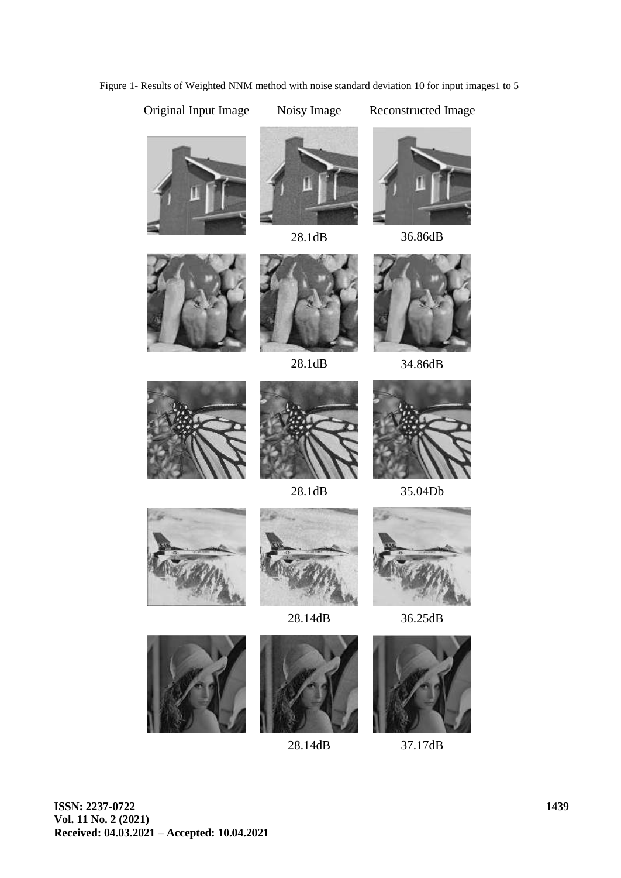Original Input Image Noisy Image Reconstructed Image







28.1dB 36.86dB













28.1dB 35.04Db







28.14dB 36.25dB

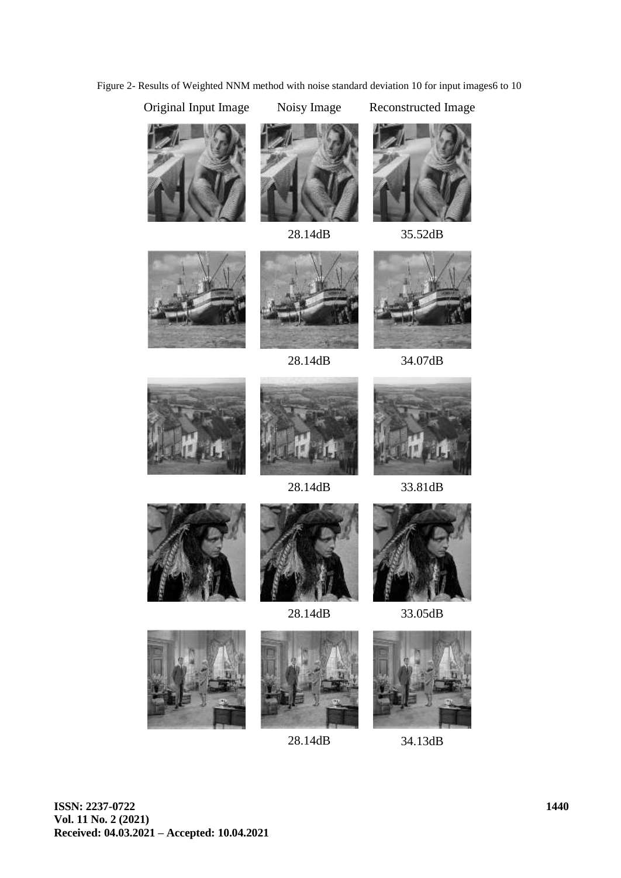Figure 2- Results of Weighted NNM method with noise standard deviation 10 for input images6 to 10





28.14dB 35.52dB













28.14dB 33.81dB





28.14dB 33.05dB







28.14dB 34.13dB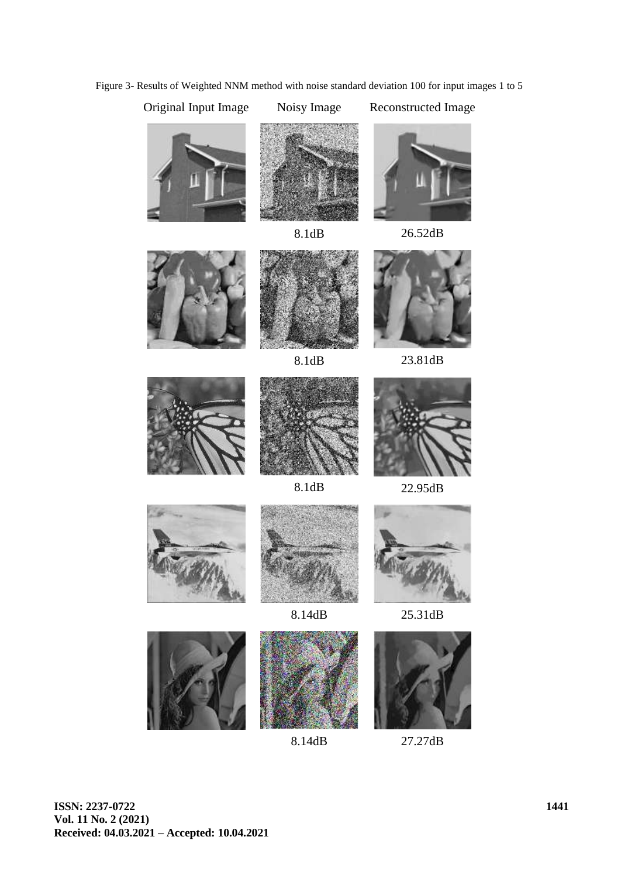Figure 3- Results of Weighted NNM method with noise standard deviation 100 for input images 1 to 5



8.14dB 27.27dB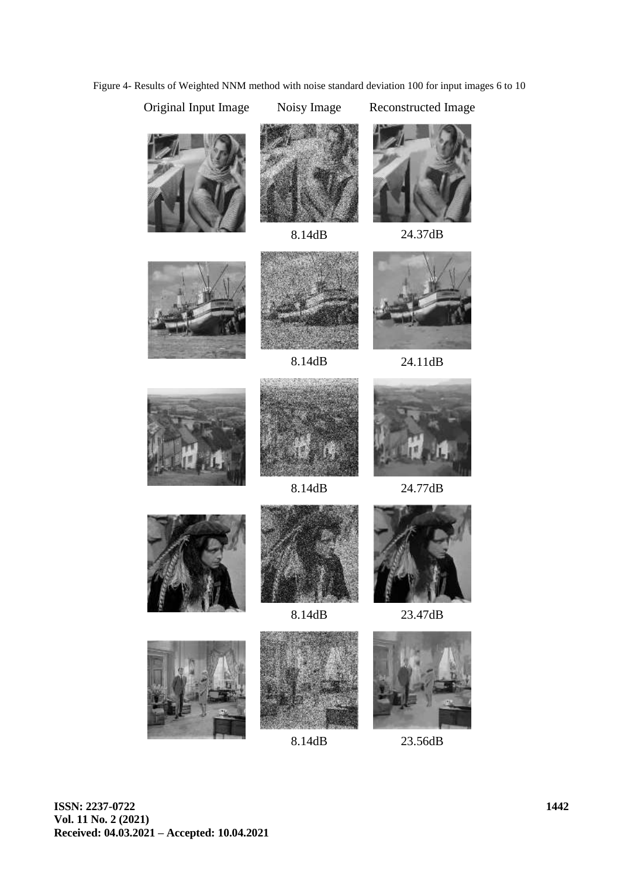Figure 4- Results of Weighted NNM method with noise standard deviation 100 for input images 6 to 10









8.14dB 24.37dB





8.14dB 24.11dB





![](_page_12_Picture_16.jpeg)

8.14dB 24.77dB

![](_page_12_Picture_18.jpeg)

![](_page_12_Picture_19.jpeg)

![](_page_12_Picture_21.jpeg)

8.14dB 23.47dB

![](_page_12_Picture_23.jpeg)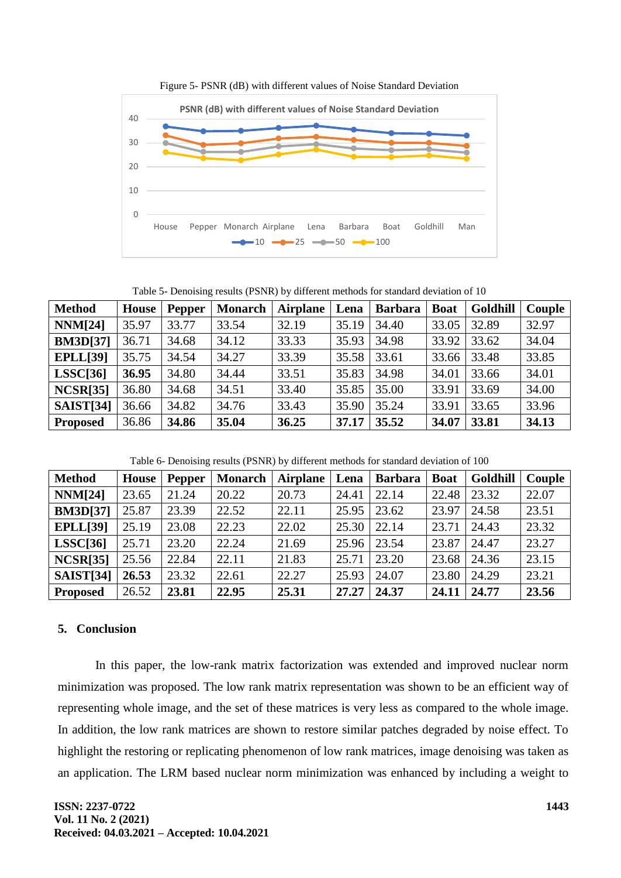![](_page_13_Figure_0.jpeg)

Figure 5- PSNR (dB) with different values of Noise Standard Deviation

Table 5- Denoising results (PSNR) by different methods for standard deviation of 10

| <b>Method</b>    | House | <b>Pepper</b> | <b>Monarch</b> | <b>Airplane</b> | Lena  | <b>Barbara</b> | <b>Boat</b> | <b>Goldhill</b> | Couple |
|------------------|-------|---------------|----------------|-----------------|-------|----------------|-------------|-----------------|--------|
| <b>NNM[24]</b>   | 35.97 | 33.77         | 33.54          | 32.19           | 35.19 | 34.40          | 33.05       | 32.89           | 32.97  |
| <b>BM3D[37]</b>  | 36.71 | 34.68         | 34.12          | 33.33           | 35.93 | 34.98          | 33.92       | 33.62           | 34.04  |
| <b>EPLL</b> [39] | 35.75 | 34.54         | 34.27          | 33.39           | 35.58 | 33.61          | 33.66       | 33.48           | 33.85  |
| LSSC[36]         | 36.95 | 34.80         | 34.44          | 33.51           | 35.83 | 34.98          | 34.01       | 33.66           | 34.01  |
| <b>NCSR[35]</b>  | 36.80 | 34.68         | 34.51          | 33.40           | 35.85 | 35.00          | 33.91       | 33.69           | 34.00  |
| <b>SAIST[34]</b> | 36.66 | 34.82         | 34.76          | 33.43           | 35.90 | 35.24          | 33.91       | 33.65           | 33.96  |
| <b>Proposed</b>  | 36.86 | 34.86         | 35.04          | 36.25           | 37.17 | 35.52          | 34.07       | 33.81           | 34.13  |

Table 6- Denoising results (PSNR) by different methods for standard deviation of 100

| <b>Method</b>   | House | <b>Pepper</b> | <b>Monarch</b> | <b>Airplane</b> | Lena  | <b>Barbara</b> | <b>Boat</b> | <b>Goldhill</b> | Couple |
|-----------------|-------|---------------|----------------|-----------------|-------|----------------|-------------|-----------------|--------|
| <b>NNM[24]</b>  | 23.65 | 21.24         | 20.22          | 20.73           | 24.41 | 22.14          | 22.48       | 23.32           | 22.07  |
| <b>BM3D[37]</b> | 25.87 | 23.39         | 22.52          | 22.11           | 25.95 | 23.62          | 23.97       | 24.58           | 23.51  |
| <b>EPLL[39]</b> | 25.19 | 23.08         | 22.23          | 22.02           | 25.30 | 22.14          | 23.71       | 24.43           | 23.32  |
| LSSC[36]        | 25.71 | 23.20         | 22.24          | 21.69           | 25.96 | 23.54          | 23.87       | 24.47           | 23.27  |
| <b>NCSR[35]</b> | 25.56 | 22.84         | 22.11          | 21.83           | 25.71 | 23.20          | 23.68       | 24.36           | 23.15  |
| SAIST[34]       | 26.53 | 23.32         | 22.61          | 22.27           | 25.93 | 24.07          | 23.80       | 24.29           | 23.21  |
| <b>Proposed</b> | 26.52 | 23.81         | 22.95          | 25.31           | 27,27 | 24.37          | 24.11       | 24.77           | 23.56  |

# **5. Conclusion**

In this paper, the low-rank matrix factorization was extended and improved nuclear norm minimization was proposed. The low rank matrix representation was shown to be an efficient way of representing whole image, and the set of these matrices is very less as compared to the whole image. In addition, the low rank matrices are shown to restore similar patches degraded by noise effect. To highlight the restoring or replicating phenomenon of low rank matrices, image denoising was taken as an application. The LRM based nuclear norm minimization was enhanced by including a weight to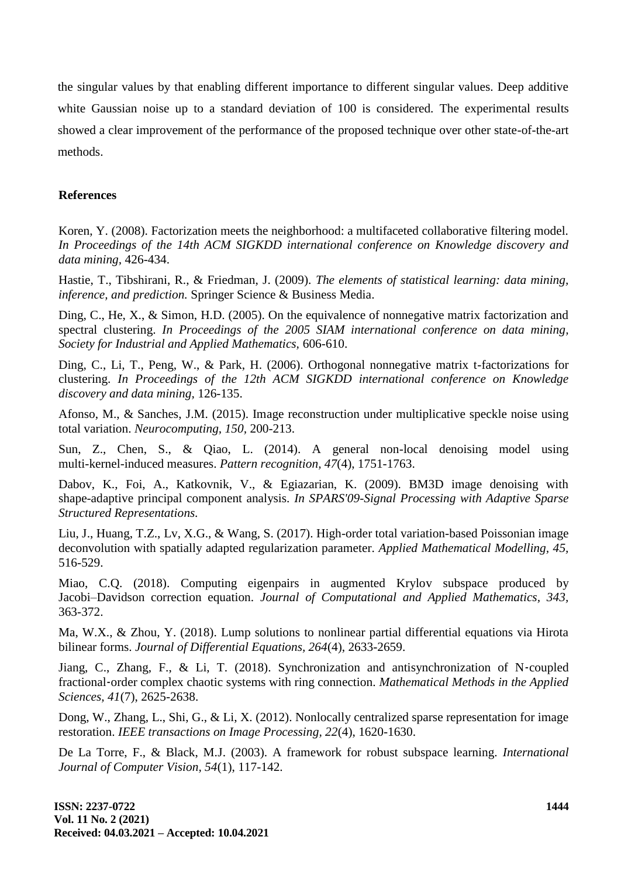the singular values by that enabling different importance to different singular values. Deep additive white Gaussian noise up to a standard deviation of 100 is considered. The experimental results showed a clear improvement of the performance of the proposed technique over other state-of-the-art methods.

# **References**

Koren, Y. (2008). Factorization meets the neighborhood: a multifaceted collaborative filtering model. *In Proceedings of the 14th ACM SIGKDD international conference on Knowledge discovery and data mining,* 426-434.

Hastie, T., Tibshirani, R., & Friedman, J. (2009). *The elements of statistical learning: data mining, inference, and prediction.* Springer Science & Business Media.

Ding, C., He, X., & Simon, H.D. (2005). On the equivalence of nonnegative matrix factorization and spectral clustering. *In Proceedings of the 2005 SIAM international conference on data mining, Society for Industrial and Applied Mathematics,* 606-610.

Ding, C., Li, T., Peng, W., & Park, H. (2006). Orthogonal nonnegative matrix t-factorizations for clustering. *In Proceedings of the 12th ACM SIGKDD international conference on Knowledge discovery and data mining,* 126-135.

Afonso, M., & Sanches, J.M. (2015). Image reconstruction under multiplicative speckle noise using total variation. *Neurocomputing, 150,* 200-213.

Sun, Z., Chen, S., & Qiao, L. (2014). A general non-local denoising model using multi-kernel-induced measures. *Pattern recognition, 47*(4), 1751-1763.

Dabov, K., Foi, A., Katkovnik, V., & Egiazarian, K. (2009). BM3D image denoising with shape-adaptive principal component analysis. *In SPARS'09-Signal Processing with Adaptive Sparse Structured Representations.*

Liu, J., Huang, T.Z., Lv, X.G., & Wang, S. (2017). High-order total variation-based Poissonian image deconvolution with spatially adapted regularization parameter. *Applied Mathematical Modelling, 45,* 516-529.

Miao, C.Q. (2018). Computing eigenpairs in augmented Krylov subspace produced by Jacobi–Davidson correction equation. *Journal of Computational and Applied Mathematics, 343,* 363-372.

Ma, W.X., & Zhou, Y. (2018). Lump solutions to nonlinear partial differential equations via Hirota bilinear forms. *Journal of Differential Equations, 264*(4), 2633-2659.

Jiang, C., Zhang, F., & Li, T. (2018). Synchronization and antisynchronization of N‐coupled fractional‐order complex chaotic systems with ring connection. *Mathematical Methods in the Applied Sciences, 41*(7), 2625-2638.

Dong, W., Zhang, L., Shi, G., & Li, X. (2012). Nonlocally centralized sparse representation for image restoration. *IEEE transactions on Image Processing, 22*(4), 1620-1630.

De La Torre, F., & Black, M.J. (2003). A framework for robust subspace learning. *International Journal of Computer Vision, 54*(1), 117-142.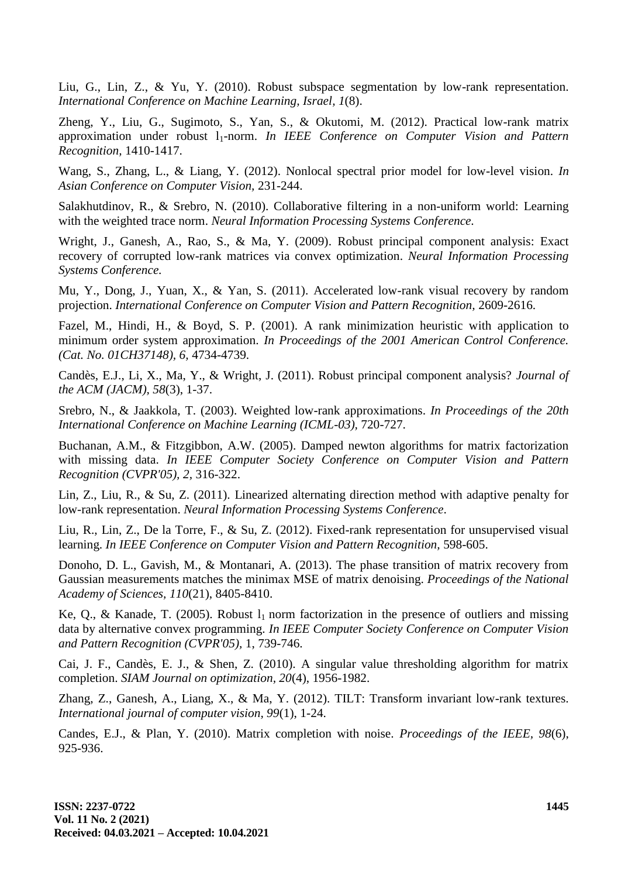Liu, G., Lin, Z., & Yu, Y. (2010). Robust subspace segmentation by low-rank representation. *International Conference on Machine Learning, Israel, 1*(8).

Zheng, Y., Liu, G., Sugimoto, S., Yan, S., & Okutomi, M. (2012). Practical low-rank matrix approximation under robust 1<sub>1</sub>-norm. *In IEEE Conference on Computer Vision and Pattern Recognition,* 1410-1417.

Wang, S., Zhang, L., & Liang, Y. (2012). Nonlocal spectral prior model for low-level vision. *In Asian Conference on Computer Vision,* 231-244.

Salakhutdinov, R., & Srebro, N. (2010). Collaborative filtering in a non-uniform world: Learning with the weighted trace norm. *Neural Information Processing Systems Conference.*

Wright, J., Ganesh, A., Rao, S., & Ma, Y. (2009). Robust principal component analysis: Exact recovery of corrupted low-rank matrices via convex optimization. *Neural Information Processing Systems Conference.*

Mu, Y., Dong, J., Yuan, X., & Yan, S. (2011). Accelerated low-rank visual recovery by random projection. *International Conference on Computer Vision and Pattern Recognition,* 2609-2616.

Fazel, M., Hindi, H., & Boyd, S. P. (2001). A rank minimization heuristic with application to minimum order system approximation. *In Proceedings of the 2001 American Control Conference. (Cat. No. 01CH37148), 6,* 4734-4739.

Candès, E.J., Li, X., Ma, Y., & Wright, J. (2011). Robust principal component analysis? *Journal of the ACM (JACM), 58*(3), 1-37.

Srebro, N., & Jaakkola, T. (2003). Weighted low-rank approximations. *In Proceedings of the 20th International Conference on Machine Learning (ICML-03),* 720-727.

Buchanan, A.M., & Fitzgibbon, A.W. (2005). Damped newton algorithms for matrix factorization with missing data. *In IEEE Computer Society Conference on Computer Vision and Pattern Recognition (CVPR'05), 2,* 316-322.

Lin, Z., Liu, R., & Su, Z. (2011). Linearized alternating direction method with adaptive penalty for low-rank representation. *Neural Information Processing Systems Conference*.

Liu, R., Lin, Z., De la Torre, F., & Su, Z. (2012). Fixed-rank representation for unsupervised visual learning. *In IEEE Conference on Computer Vision and Pattern Recognition,* 598-605.

Donoho, D. L., Gavish, M., & Montanari, A. (2013). The phase transition of matrix recovery from Gaussian measurements matches the minimax MSE of matrix denoising. *Proceedings of the National Academy of Sciences, 110*(21), 8405-8410.

Ke, O., & Kanade, T. (2005). Robust  $l_1$  norm factorization in the presence of outliers and missing data by alternative convex programming. *In IEEE Computer Society Conference on Computer Vision and Pattern Recognition (CVPR'05),* 1, 739-746.

Cai, J. F., Candès, E. J., & Shen, Z. (2010). A singular value thresholding algorithm for matrix completion. *SIAM Journal on optimization, 20*(4), 1956-1982.

Zhang, Z., Ganesh, A., Liang, X., & Ma, Y. (2012). TILT: Transform invariant low-rank textures. *International journal of computer vision, 99*(1), 1-24.

Candes, E.J., & Plan, Y. (2010). Matrix completion with noise. *Proceedings of the IEEE, 98*(6), 925-936.